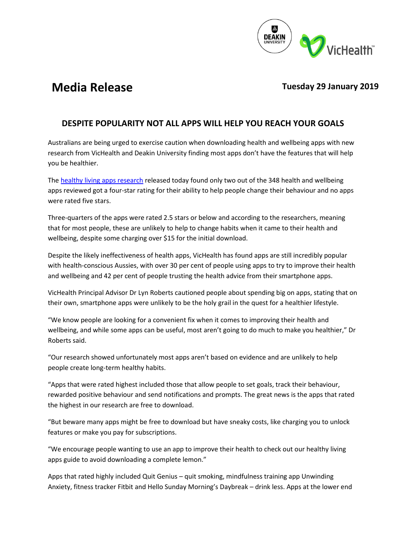

# **Media Release**

# **Tuesday 29 January 2019**

# **DESPITE POPULARITY NOT ALL APPS WILL HELP YOU REACH YOUR GOALS**

Australians are being urged to exercise caution when downloading health and wellbeing apps with new research from VicHealth and Deakin University finding most apps don't have the features that will help you be healthier.

The [healthy living apps research](http://www.vichealth.vic.gov.au/apps) released today found only two out of the 348 health and wellbeing apps reviewed got a four-star rating for their ability to help people change their behaviour and no apps were rated five stars.

Three-quarters of the apps were rated 2.5 stars or below and according to the researchers, meaning that for most people, these are unlikely to help to change habits when it came to their health and wellbeing, despite some charging over \$15 for the initial download.

Despite the likely ineffectiveness of health apps, VicHealth has found apps are still incredibly popular with health-conscious Aussies, with over 30 per cent of people using apps to try to improve their health and wellbeing and 42 per cent of people trusting the health advice from their smartphone apps.

VicHealth Principal Advisor Dr Lyn Roberts cautioned people about spending big on apps, stating that on their own, smartphone apps were unlikely to be the holy grail in the quest for a healthier lifestyle.

"We know people are looking for a convenient fix when it comes to improving their health and wellbeing, and while some apps can be useful, most aren't going to do much to make you healthier," Dr Roberts said.

"Our research showed unfortunately most apps aren't based on evidence and are unlikely to help people create long-term healthy habits.

"Apps that were rated highest included those that allow people to set goals, track their behaviour, rewarded positive behaviour and send notifications and prompts. The great news is the apps that rated the highest in our research are free to download.

"But beware many apps might be free to download but have sneaky costs, like charging you to unlock features or make you pay for subscriptions.

"We encourage people wanting to use an app to improve their health to check out our healthy living apps guide to avoid downloading a complete lemon."

Apps that rated highly included Quit Genius – quit smoking, mindfulness training app Unwinding Anxiety, fitness tracker Fitbit and Hello Sunday Morning's Daybreak – drink less. Apps at the lower end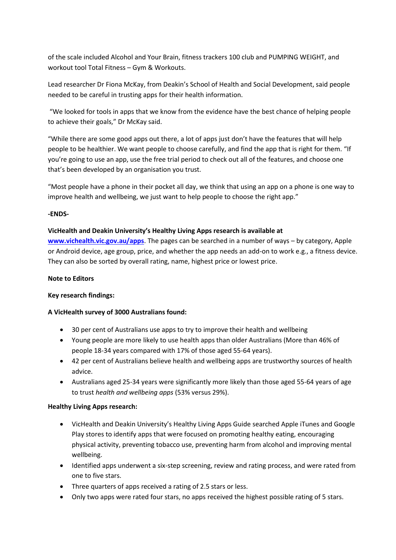of the scale included Alcohol and Your Brain, fitness trackers 100 club and PUMPING WEIGHT, and workout tool Total Fitness – Gym & Workouts.

Lead researcher Dr Fiona McKay, from Deakin's School of Health and Social Development, said people needed to be careful in trusting apps for their health information.

"We looked for tools in apps that we know from the evidence have the best chance of helping people to achieve their goals," Dr McKay said.

"While there are some good apps out there, a lot of apps just don't have the features that will help people to be healthier. We want people to choose carefully, and find the app that is right for them. "If you're going to use an app, use the free trial period to check out all of the features, and choose one that's been developed by an organisation you trust.

"Most people have a phone in their pocket all day, we think that using an app on a phone is one way to improve health and wellbeing, we just want to help people to choose the right app."

## **-ENDS-**

## **VicHealth and Deakin University's Healthy Living Apps research is available at**

**[www.vichealth.vic.gov.au/apps](http://www.vichealth.vic.gov.au/apps)**. The pages can be searched in a number of ways – by category, Apple or Android device, age group, price, and whether the app needs an add-on to work e.g., a fitness device. They can also be sorted by overall rating, name, highest price or lowest price.

#### **Note to Editors**

#### **Key research findings:**

## **A VicHealth survey of 3000 Australians found:**

- 30 per cent of Australians use apps to try to improve their health and wellbeing
- Young people are more likely to use health apps than older Australians (More than 46% of people 18-34 years compared with 17% of those aged 55-64 years).
- 42 per cent of Australians believe health and wellbeing apps are trustworthy sources of health advice.
- Australians aged 25-34 years were significantly more likely than those aged 55-64 years of age to trust *health and wellbeing apps* (53% versus 29%).

#### **Healthy Living Apps research:**

- VicHealth and Deakin University's Healthy Living Apps Guide searched Apple iTunes and Google Play stores to identify apps that were focused on promoting healthy eating, encouraging physical activity, preventing tobacco use, preventing harm from alcohol and improving mental wellbeing.
- Identified apps underwent a six-step screening, review and rating process, and were rated from one to five stars.
- Three quarters of apps received a rating of 2.5 stars or less.
- Only two apps were rated four stars, no apps received the highest possible rating of 5 stars.